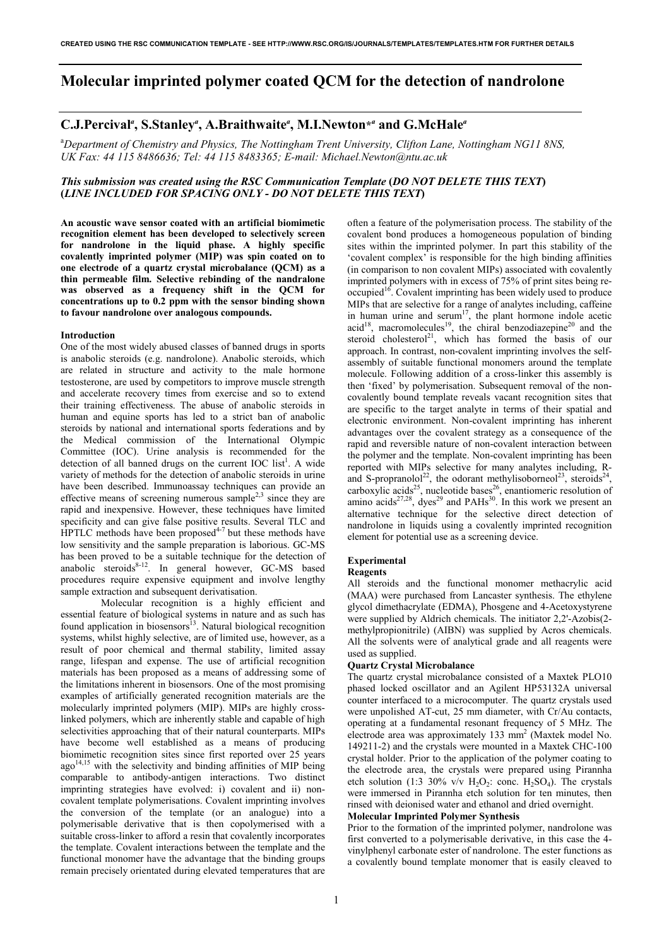# **Molecular imprinted polymer coated QCM for the detection of nandrolone**

# **C.J.Percival***<sup>a</sup>* **, S.Stanley***<sup>a</sup>* **, A.Braithwaite***<sup>a</sup>* **, M.I.Newton\****<sup>a</sup>*  **and G.McHale***<sup>a</sup>*

<sup>a</sup>Department of Chemistry and Physics, The Nottingham Trent University, Clifton Lane, Nottingham NG11 8NS, *UK Fax: 44 115 8486636; Tel: 44 115 8483365; E-mail: Michael.Newton@ntu.ac.uk* 

# *This submission was created using the RSC Communication Template* **(***DO NOT DELETE THIS TEXT***) (***LINE INCLUDED FOR SPACING ONLY - DO NOT DELETE THIS TEXT***)**

**An acoustic wave sensor coated with an artificial biomimetic recognition element has been developed to selectively screen for nandrolone in the liquid phase. A highly specific covalently imprinted polymer (MIP) was spin coated on to one electrode of a quartz crystal microbalance (QCM) as a thin permeable film. Selective rebinding of the nandralone was observed as a frequency shift in the QCM for concentrations up to 0.2 ppm with the sensor binding shown to favour nandrolone over analogous compounds.** 

#### **Introduction**

One of the most widely abused classes of banned drugs in sports is anabolic steroids (e.g. nandrolone). Anabolic steroids, which are related in structure and activity to the male hormone testosterone, are used by competitors to improve muscle strength and accelerate recovery times from exercise and so to extend their training effectiveness. The abuse of anabolic steroids in human and equine sports has led to a strict ban of anabolic steroids by national and international sports federations and by the Medical commission of the International Olympic Committee (IOC). Urine analysis is recommended for the detection of all banned drugs on the current IOC list<sup>1</sup>. A wide variety of methods for the detection of anabolic steroids in urine have been described. Immunoassay techniques can provide an effective means of screening numerous sample<sup>2,3</sup> since they are rapid and inexpensive. However, these techniques have limited specificity and can give false positive results. Several TLC and  $HPTLC$  methods have been proposed<sup>4-7</sup> but these methods have low sensitivity and the sample preparation is laborious. GC-MS has been proved to be a suitable technique for the detection of anabolic steroids<sup>8-12</sup>. In general however, GC-MS based procedures require expensive equipment and involve lengthy sample extraction and subsequent derivatisation.

Molecular recognition is a highly efficient and essential feature of biological systems in nature and as such has found application in biosensors<sup>13</sup>. Natural biological recognition systems, whilst highly selective, are of limited use, however, as a result of poor chemical and thermal stability, limited assay range, lifespan and expense. The use of artificial recognition materials has been proposed as a means of addressing some of the limitations inherent in biosensors. One of the most promising examples of artificially generated recognition materials are the molecularly imprinted polymers (MIP). MIPs are highly crosslinked polymers, which are inherently stable and capable of high selectivities approaching that of their natural counterparts. MIPs have become well established as a means of producing biomimetic recognition sites since first reported over 25 years ago14,15 with the selectivity and binding affinities of MIP being comparable to antibody-antigen interactions. Two distinct imprinting strategies have evolved: i) covalent and ii) noncovalent template polymerisations. Covalent imprinting involves the conversion of the template (or an analogue) into a polymerisable derivative that is then copolymerised with a suitable cross-linker to afford a resin that covalently incorporates the template. Covalent interactions between the template and the functional monomer have the advantage that the binding groups remain precisely orientated during elevated temperatures that are

often a feature of the polymerisation process. The stability of the covalent bond produces a homogeneous population of binding sites within the imprinted polymer. In part this stability of the 'covalent complex' is responsible for the high binding affinities (in comparison to non covalent MIPs) associated with covalently imprinted polymers with in excess of 75% of print sites being reoccupied<sup>16</sup>. Covalent imprinting has been widely used to produce MIPs that are selective for a range of analytes including, caffeine in human urine and  $serum^{17}$ , the plant hormone indole acetic  $\text{area}^{\text{18}}$ , macromolecules<sup>19</sup>, the chiral benzodiazepine<sup>20</sup> and the steroid cholesterol<sup>21</sup>, which has formed the basis of our approach. In contrast, non-covalent imprinting involves the selfassembly of suitable functional monomers around the template molecule. Following addition of a cross-linker this assembly is then 'fixed' by polymerisation. Subsequent removal of the noncovalently bound template reveals vacant recognition sites that are specific to the target analyte in terms of their spatial and electronic environment. Non-covalent imprinting has inherent advantages over the covalent strategy as a consequence of the rapid and reversible nature of non-covalent interaction between the polymer and the template. Non-covalent imprinting has been reported with MIPs selective for many analytes including, Rand S-propranolol<sup>22</sup>, the odorant methylisoborneol<sup>23</sup>, steroids<sup>24</sup>, carboxylic acids<sup>25</sup>, nucleotide bases<sup>26</sup>, enantiomeric resolution of amino acids<sup>27,28</sup>, dyes<sup>29</sup> and PAHs<sup>30</sup>. In this work we present an alternative technique for the selective direct detection of nandrolone in liquids using a covalently imprinted recognition element for potential use as a screening device.

# **Experimental**

#### **Reagents**

All steroids and the functional monomer methacrylic acid (MAA) were purchased from Lancaster synthesis. The ethylene glycol dimethacrylate (EDMA), Phosgene and 4-Acetoxystyrene were supplied by Aldrich chemicals. The initiator 2,2'-Azobis(2 methylpropionitrile) (AIBN) was supplied by Acros chemicals. All the solvents were of analytical grade and all reagents were used as supplied.

#### **Quartz Crystal Microbalance**

The quartz crystal microbalance consisted of a Maxtek PLO10 phased locked oscillator and an Agilent HP53132A universal counter interfaced to a microcomputer. The quartz crystals used were unpolished AT-cut, 25 mm diameter, with Cr/Au contacts, operating at a fundamental resonant frequency of 5 MHz. The electrode area was approximately 133 mm<sup>2</sup> (Maxtek model No. 149211-2) and the crystals were mounted in a Maxtek CHC-100 crystal holder. Prior to the application of the polymer coating to the electrode area, the crystals were prepared using Pirannha etch solution (1:3 30% v/v  $H_2O_2$ : conc.  $H_2SO_4$ ). The crystals were immersed in Pirannha etch solution for ten minutes, then rinsed with deionised water and ethanol and dried overnight.

### **Molecular Imprinted Polymer Synthesis**

Prior to the formation of the imprinted polymer, nandrolone was first converted to a polymerisable derivative, in this case the 4 vinylphenyl carbonate ester of nandrolone. The ester functions as a covalently bound template monomer that is easily cleaved to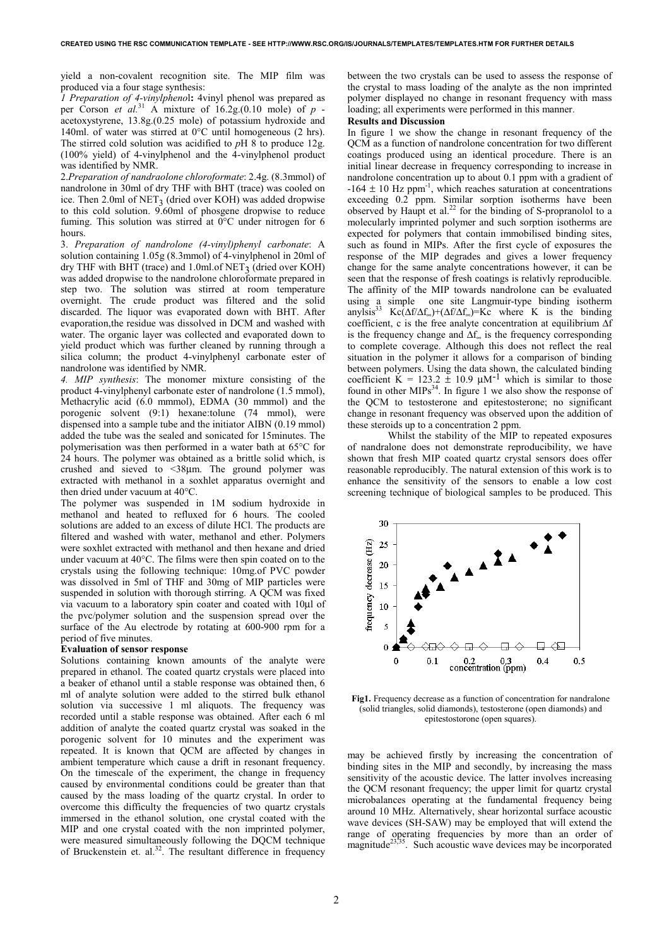yield a non-covalent recognition site. The MIP film was produced via a four stage synthesis:

*1 Preparation of 4-vinylpheno*l**:** 4vinyl phenol was prepared as per Corson *et al.*<sup>31</sup> A mixture of  $16.2g(0.10 \text{ mole})$  of *p* acetoxystyrene, 13.8g.(0.25 mole) of potassium hydroxide and 140ml. of water was stirred at 0°C until homogeneous (2 hrs). The stirred cold solution was acidified to  $pH_0$  8 to produce 12g. (100% yield) of 4-vinylphenol and the 4-vinylphenol product was identified by NMR.

2.*Preparation of nandraolone chloroformate*: 2.4g. (8.3mmol) of nandrolone in 30ml of dry THF with BHT (trace) was cooled on ice. Then 2.0ml of NET<sub>3</sub> (dried over KOH) was added dropwise to this cold solution. 9.60ml of phosgene dropwise to reduce fuming. This solution was stirred at  $0^{\circ}$ C under nitrogen for 6 hours.

3. *Preparation of nandrolone (4-vinyl)phenyl carbonate*: A solution containing 1.05g (8.3mmol) of 4-vinylphenol in 20ml of dry THF with BHT (trace) and  $1.0$ ml.of NET<sub>3</sub> (dried over KOH) was added dropwise to the nandrolone chloroformate prepared in step two. The solution was stirred at room temperature overnight. The crude product was filtered and the solid discarded. The liquor was evaporated down with BHT. After evaporation,the residue was dissolved in DCM and washed with water. The organic layer was collected and evaporated down to yield product which was further cleaned by running through a silica column; the product 4-vinylphenyl carbonate ester of nandrolone was identified by NMR.

*4. MIP synthesis*: The monomer mixture consisting of the product 4-vinylphenyl carbonate ester of nandrolone (1.5 mmol), Methacrylic acid (6.0 mmmol), EDMA (30 mmmol) and the porogenic solvent (9:1) hexane:tolune (74 mmol), were dispensed into a sample tube and the initiator AIBN (0.19 mmol) added the tube was the sealed and sonicated for 15minutes. The polymerisation was then performed in a water bath at 65°C for 24 hours. The polymer was obtained as a brittle solid which, is crushed and sieved to <38µm. The ground polymer was extracted with methanol in a soxhlet apparatus overnight and then dried under vacuum at 40°C.

The polymer was suspended in 1M sodium hydroxide in methanol and heated to refluxed for 6 hours. The cooled solutions are added to an excess of dilute HCl. The products are filtered and washed with water, methanol and ether. Polymers were soxhlet extracted with methanol and then hexane and dried under vacuum at 40°C. The films were then spin coated on to the crystals using the following technique: 10mg.of PVC powder was dissolved in 5ml of THF and 30mg of MIP particles were suspended in solution with thorough stirring. A QCM was fixed via vacuum to a laboratory spin coater and coated with 10µl of the pvc/polymer solution and the suspension spread over the surface of the Au electrode by rotating at 600-900 rpm for a period of five minutes.

#### **Evaluation of sensor response**

Solutions containing known amounts of the analyte were prepared in ethanol. The coated quartz crystals were placed into a beaker of ethanol until a stable response was obtained then, 6 ml of analyte solution were added to the stirred bulk ethanol solution via successive 1 ml aliquots. The frequency was recorded until a stable response was obtained. After each 6 ml addition of analyte the coated quartz crystal was soaked in the porogenic solvent for 10 minutes and the experiment was repeated. It is known that QCM are affected by changes in ambient temperature which cause a drift in resonant frequency. On the timescale of the experiment, the change in frequency caused by environmental conditions could be greater than that caused by the mass loading of the quartz crystal. In order to overcome this difficulty the frequencies of two quartz crystals immersed in the ethanol solution, one crystal coated with the MIP and one crystal coated with the non imprinted polymer, were measured simultaneously following the DQCM technique of Bruckenstein et. al.<sup>32</sup>. The resultant difference in frequency between the two crystals can be used to assess the response of the crystal to mass loading of the analyte as the non imprinted polymer displayed no change in resonant frequency with mass loading; all experiments were performed in this manner.

#### **Results and Discussion**

In figure 1 we show the change in resonant frequency of the QCM as a function of nandrolone concentration for two different coatings produced using an identical procedure. There is an initial linear decrease in frequency corresponding to increase in nandrolone concentration up to about 0.1 ppm with a gradient of  $-164 \pm 10$  Hz ppm<sup>-1</sup>, which reaches saturation at concentrations exceeding 0.2 ppm. Similar sorption isotherms have been observed by Haupt et al.<sup>22</sup> for the binding of S-propranolol to a molecularly imprinted polymer and such sorption isotherms are expected for polymers that contain immobilised binding sites, such as found in MIPs. After the first cycle of exposures the response of the MIP degrades and gives a lower frequency change for the same analyte concentrations however, it can be seen that the response of fresh coatings is relativly reproducible. The affinity of the MIP towards nandrolone can be evaluated using a simple one site Langmuir-type binding isotherm anylsis<sup>33</sup> Kc( $\Delta f/\Delta f_{\infty}$ )+( $\Delta f/\Delta f_{\infty}$ )=Kc where K is the binding coefficient, c is the free analyte concentration at equilibrium ∆f is the frequency change and ∆f∞ is the frequency corresponding to complete coverage. Although this does not reflect the real situation in the polymer it allows for a comparison of binding between polymers. Using the data shown, the calculated binding coefficient  $\hat{K} = 123.2 \pm 10.9 \mu M^{-1}$  which is similar to those found in other MIPs<sup>34</sup>. In figure 1 we also show the response of the QCM to testosterone and epitestosterone; no significant change in resonant frequency was observed upon the addition of these steroids up to a concentration 2 ppm.

Whilst the stability of the MIP to repeated exposures of nandralone does not demonstrate reproducibility, we have shown that fresh MIP coated quartz crystal sensors does offer reasonable reproducibly. The natural extension of this work is to enhance the sensitivity of the sensors to enable a low cost screening technique of biological samples to be produced. This



**Fig1.** Frequency decrease as a function of concentration for nandralone (solid triangles, solid diamonds), testosterone (open diamonds) and epitestostorone (open squares).

may be achieved firstly by increasing the concentration of binding sites in the MIP and secondly, by increasing the mass sensitivity of the acoustic device. The latter involves increasing the QCM resonant frequency; the upper limit for quartz crystal microbalances operating at the fundamental frequency being around 10 MHz. Alternatively, shear horizontal surface acoustic wave devices (SH-SAW) may be employed that will extend the range of operating frequencies by more than an order of magnitude<sup>23,35</sup>. Such acoustic wave devices may be incorporated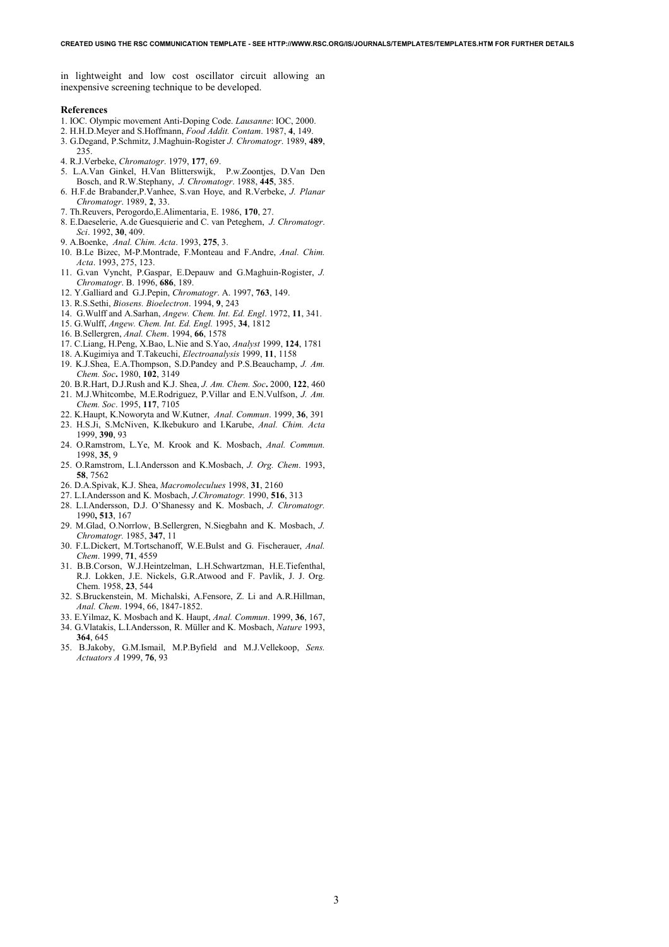in lightweight and low cost oscillator circuit allowing an inexpensive screening technique to be developed.

#### **References**

- 1. IOC. Olympic movement Anti-Doping Code. *Lausanne*: IOC, 2000.
- 2. H.H.D.Meyer and S.Hoffmann, *Food Addit. Contam*. 1987, **4**, 149.
- 3. G.Degand, P.Schmitz, J.Maghuin-Rogister *J. Chromatogr*. 1989, **489**, 235.
- 4. R.J.Verbeke, *Chromatogr*. 1979, **177**, 69.
- 5. L.A.Van Ginkel, H.Van Blitterswijk, P.w.Zoontjes, D.Van Den Bosch, and R.W.Stephany, *J. Chromatogr*. 1988, **445**, 385.
- 6. H.F.de Brabander,P.Vanhee, S.van Hoye, and R.Verbeke, *J. Planar Chromatogr*. 1989, **2**, 33.
- 7. Th.Reuvers, Perogordo,E.Alimentaria, E. 1986, **170**, 27.
- 8. E.Daeselerie, A.de Guesquierie and C. van Peteghem, *J. Chromatogr*. *Sci*. 1992, **30**, 409.
- 9. A.Boenke, *Anal. Chim. Acta*. 1993, **275**, 3.
- 10. B.Le Bizec, M-P.Montrade, F.Monteau and F.Andre, *Anal. Chim. Acta*. 1993, 275, 123.
- 11. G.van Vyncht, P.Gaspar, E.Depauw and G.Maghuin-Rogister, *J. Chromatogr*. B. 1996, **686**, 189.
- 12. Y.Galliard and G.J.Pepin, *Chromatogr*. A. 1997, **763**, 149.
- 13. R.S.Sethi, *Biosens. Bioelectron*. 1994, **9**, 243
- 14. G.Wulff and A.Sarhan, *Angew. Chem. Int. Ed. Engl*. 1972, **11**, 341.
- 15. G.Wulff, *Angew. Chem. Int. Ed. Engl.* 1995, **34**, 1812
- 16. B.Sellergren, *Anal. Chem*. 1994, **66**, 1578
- 17. C.Liang, H.Peng, X.Bao, L.Nie and S.Yao, *Analyst* 1999, **124**, 1781
- 18. A.Kugimiya and T.Takeuchi, *Electroanalysis* 1999, **11**, 1158
- 19. K.J.Shea, E.A.Thompson, S.D.Pandey and P.S.Beauchamp, *J. Am. Chem. Soc***.** 1980, **102**, 3149
- 20. B.R.Hart, D.J.Rush and K.J. Shea, *J. Am. Chem. Soc***.** 2000, **122**, 460
- 21. M.J.Whitcombe, M.E.Rodriguez, P.Villar and E.N.Vulfson, *J. Am. Chem. Soc*. 1995, **117**, 7105
- 22. K.Haupt, K.Noworyta and W.Kutner, *Anal. Commun*. 1999, **36**, 391
- 23. H.S.Ji, S.McNiven, K.Ikebukuro and I.Karube, *Anal. Chim. Acta* 1999, **390**, 93
- 24. O.Ramstrom, L.Ye, M. Krook and K. Mosbach, *Anal. Commun.* 1998, **35**, 9
- 25. O.Ramstrom, L.I.Andersson and K.Mosbach, *J. Org. Chem*. 1993, **58**, 7562
- 26. D.A.Spivak, K.J. Shea, *Macromoleculues* 1998, **31**, 2160
- 27. L.I.Andersson and K. Mosbach, *J.Chromatogr.* 1990, **516**, 313
- 28. L.I.Andersson, D.J. O'Shanessy and K. Mosbach, *J. Chromatogr.* 1990**, 513**, 167
- 29. M.Glad, O.Norrlow, B.Sellergren, N.Siegbahn and K. Mosbach, *J. Chromatogr.* 1985, **347**, 11
- 30. F.L.Dickert, M.Tortschanoff, W.E.Bulst and G. Fischerauer, *Anal. Chem*. 1999, **71**, 4559
- 31. B.B.Corson, W.J.Heintzelman, L.H.Schwartzman, H.E.Tiefenthal, R.J. Lokken, J.E. Nickels, G.R.Atwood and F. Pavlik, J. J. Org. Chem. 1958, **23**, 544
- 32. S.Bruckenstein, M. Michalski, A.Fensore, Z. Li and A.R.Hillman, *Anal. Chem*. 1994, 66, 1847-1852.
- 33. E.Yilmaz, K. Mosbach and K. Haupt, *Anal. Commun*. 1999, **36**, 167,
- 34. G.Vlatakis, L.I.Andersson, R. Müller and K. Mosbach, *Nature* 1993, **364**, 645
- 35. B.Jakoby, G.M.Ismail, M.P.Byfield and M.J.Vellekoop, *Sens. Actuators A* 1999, **76**, 93